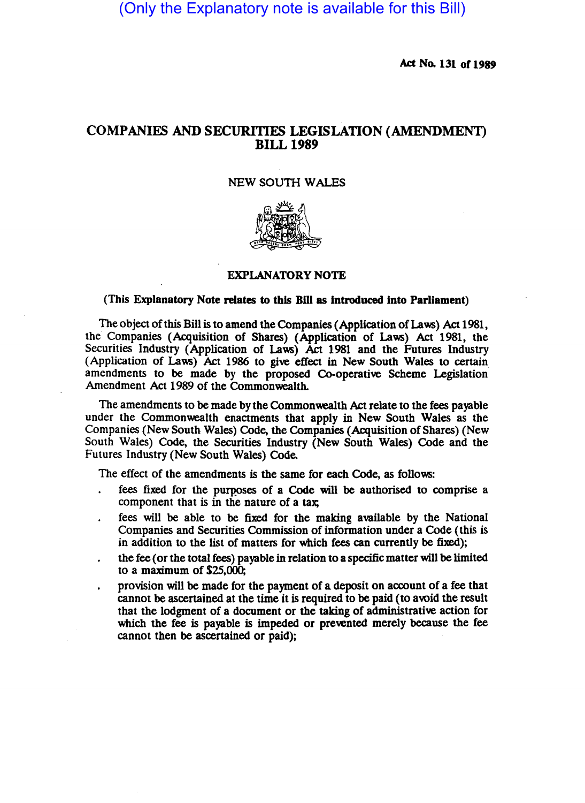(Only the Explanatory note is available for this Bill)

Act No. 131 of 1989

## COMPANIES AND SECURITIES LEGISLATION (AMENDMENT) BILL 1989

## NEW SOUTH WALES



## EXPLANATORY NOTE

## (This Explanatory Note relates to this Bill as introduced into Parliament)

The object of this Bill is to amend the Companies (Application of Laws) Act 1981, the Companies (Acquisition of Shares) (Application of Laws) Act 1981, the Securities Industry (Application of Laws) Act 1981 and the Futures Industry (Application of Laws) Act 1986 to give effect in New South Wales to certain amendments to be made by the proposed Co-operative Scheme Legislation Amendment Act 1989 of the Commonwealth.

The amendments to be made by the Commonwealth Act relate to the fees payable under the Commonwealth enactments that apply in New South Wales as the Companies (New South Wales) Code, the Companies (Acquisition of Shares) (New South Wales) Code, the Securities Industry (New South Wales) Code and the Futures Industry (New South Wales) Code.

The effect of the amendments is the same for each Code, as follows:

- fees fixed for the purposes of a Code will be authorised to comprise a component that is in the nature of a tax
- fees will be able to be fixed for the making available by the National Companies and Securities Commission of information under a Code (this is in addition to the list of matters for which fees can currently be fixed);
- the fee (or the total fees) payable in relation to a specific matter will be limited to a maximum of \$25,000;
- provision will be made for the payment of a deposit on account of a fee that cannot be ascertained at the time it is required to be paid (to avoid the result that the lodgment of a document or the taking of administrative action for which the fee is payable is impeded or prevented merely because the fee cannot then be ascertained or paid);